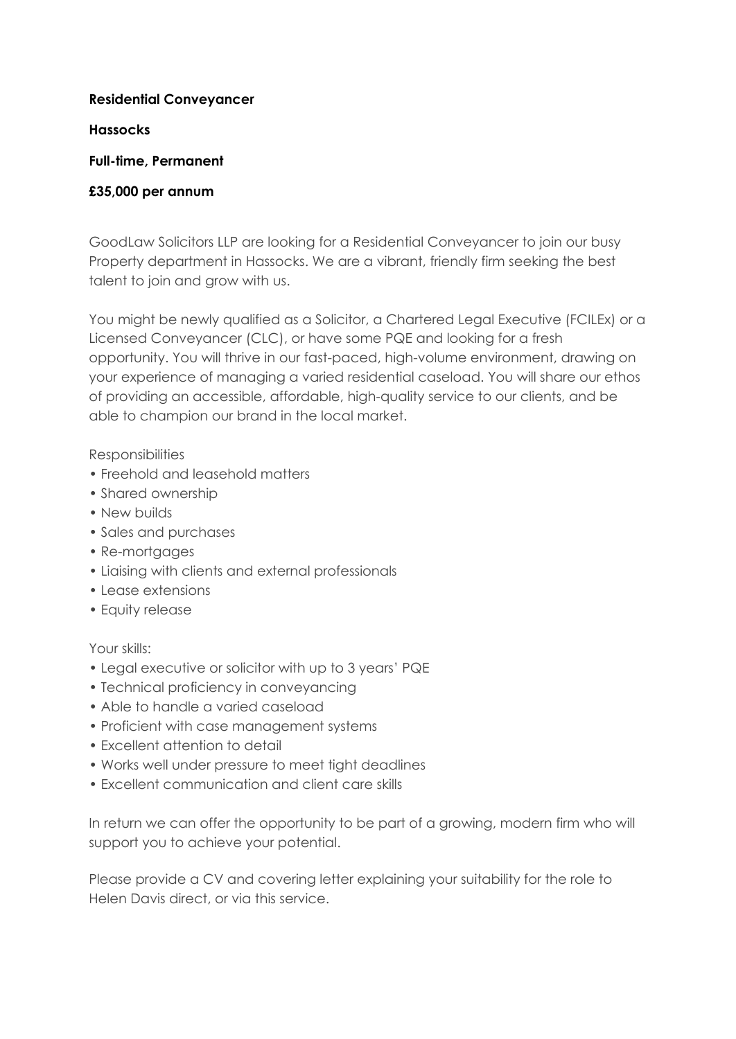### **Residential Conveyancer**

### **Hassocks**

# **Full-time, Permanent**

# **£35,000 per annum**

GoodLaw Solicitors LLP are looking for a Residential Conveyancer to join our busy Property department in Hassocks. We are a vibrant, friendly firm seeking the best talent to join and grow with us.

You might be newly qualified as a Solicitor, a Chartered Legal Executive (FCILEx) or a Licensed Conveyancer (CLC), or have some PQE and looking for a fresh opportunity. You will thrive in our fast-paced, high-volume environment, drawing on your experience of managing a varied residential caseload. You will share our ethos of providing an accessible, affordable, high-quality service to our clients, and be able to champion our brand in the local market.

# **Responsibilities**

- Freehold and leasehold matters
- Shared ownership
- New builds
- Sales and purchases
- Re-mortgages
- Liaising with clients and external professionals
- Lease extensions
- Equity release

# Your skills:

- Legal executive or solicitor with up to 3 years' PQE
- Technical proficiency in conveyancing
- Able to handle a varied caseload
- Proficient with case management systems
- Excellent attention to detail
- Works well under pressure to meet tight deadlines
- Excellent communication and client care skills

In return we can offer the opportunity to be part of a growing, modern firm who will support you to achieve your potential.

Please provide a CV and covering letter explaining your suitability for the role to Helen Davis direct, or via this service.